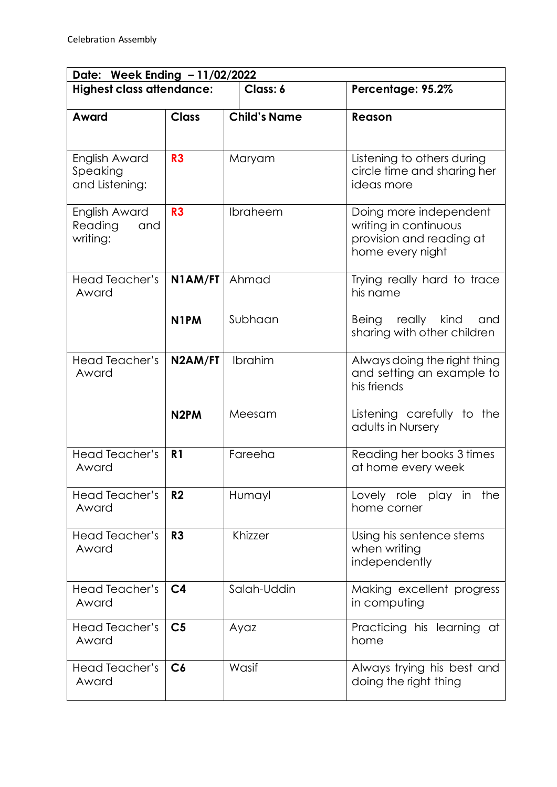| Date: Week Ending - 11/02/2022              |                   |                     |                                                                                                 |  |  |
|---------------------------------------------|-------------------|---------------------|-------------------------------------------------------------------------------------------------|--|--|
| <b>Highest class attendance:</b>            |                   | Class: 6            | Percentage: 95.2%                                                                               |  |  |
| Award                                       | <b>Class</b>      | <b>Child's Name</b> | Reason                                                                                          |  |  |
| English Award<br>Speaking<br>and Listening: | R <sub>3</sub>    | Maryam              | Listening to others during<br>circle time and sharing her<br>ideas more                         |  |  |
| English Award<br>Reading<br>and<br>writing: | R3                | Ibraheem            | Doing more independent<br>writing in continuous<br>provision and reading at<br>home every night |  |  |
| Head Teacher's<br>Award                     | N1AM/FT           | Ahmad               | Trying really hard to trace<br>his name                                                         |  |  |
|                                             | N <sub>1</sub> PM | Subhaan             | Being<br>really kind<br>and<br>sharing with other children                                      |  |  |
| Head Teacher's<br>Award                     | N2AM/FT           | Ibrahim             | Always doing the right thing<br>and setting an example to<br>his friends                        |  |  |
|                                             | N <sub>2</sub> PM | Meesam              | Listening carefully to the<br>adults in Nursery                                                 |  |  |
| <b>Head Teacher's</b><br>Award              | R <sub>1</sub>    | Fareeha             | Reading her books 3 times<br>at home every week                                                 |  |  |
| Head Teacher's<br>Award                     | R <sub>2</sub>    | Humayl              | Lovely role play in<br>the<br>home corner                                                       |  |  |
| Head Teacher's<br>Award                     | R <sub>3</sub>    | Khizzer             | Using his sentence stems<br>when writing<br>independently                                       |  |  |
| Head Teacher's<br>Award                     | C <sub>4</sub>    | Salah-Uddin         | Making excellent progress<br>in computing                                                       |  |  |
| Head Teacher's<br>Award                     | C <sub>5</sub>    | Ayaz                | Practicing his learning at<br>home                                                              |  |  |
| Head Teacher's<br>Award                     | C6                | Wasif               | Always trying his best and<br>doing the right thing                                             |  |  |